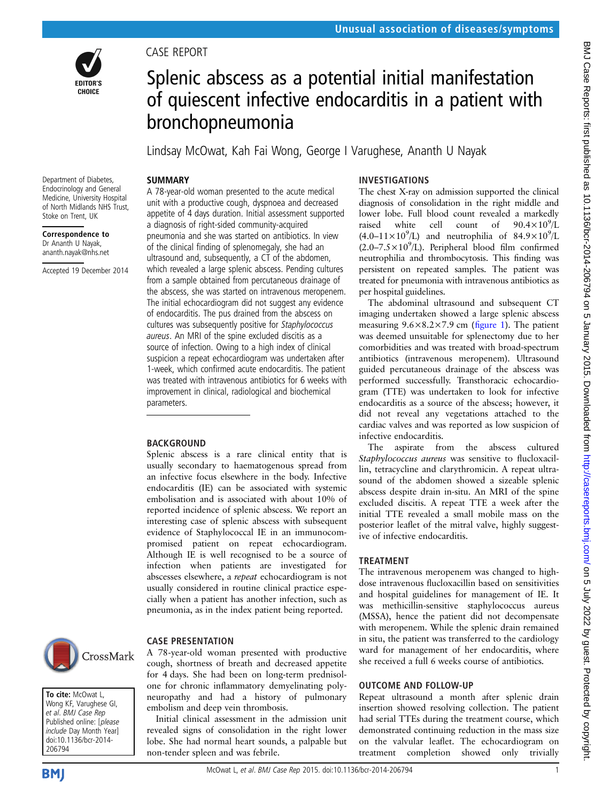

# CASE REPORT

# Splenic abscess as a potential initial manifestation of quiescent infective endocarditis in a patient with bronchopneumonia

Lindsay McOwat, Kah Fai Wong, George I Varughese, Ananth U Nayak

# SUMMARY

Department of Diabetes, Endocrinology and General Medicine, University Hospital of North Midlands NHS Trust, Stoke on Trent, UK

Correspondence to Dr Ananth U Nayak, ananth.nayak@nhs.net

Accepted 19 December 2014

A 78-year-old woman presented to the acute medical unit with a productive cough, dyspnoea and decreased appetite of 4 days duration. Initial assessment supported a diagnosis of right-sided community-acquired pneumonia and she was started on antibiotics. In view of the clinical finding of splenomegaly, she had an ultrasound and, subsequently, a CT of the abdomen, which revealed a large splenic abscess. Pending cultures from a sample obtained from percutaneous drainage of the abscess, she was started on intravenous meropenem. The initial echocardiogram did not suggest any evidence of endocarditis. The pus drained from the abscess on cultures was subsequently positive for Staphylococcus aureus. An MRI of the spine excluded discitis as a source of infection. Owing to a high index of clinical suspicion a repeat echocardiogram was undertaken after 1-week, which confirmed acute endocarditis. The patient was treated with intravenous antibiotics for 6 weeks with improvement in clinical, radiological and biochemical parameters.

## BACKGROUND

Splenic abscess is a rare clinical entity that is usually secondary to haematogenous spread from an infective focus elsewhere in the body. Infective endocarditis (IE) can be associated with systemic embolisation and is associated with about 10% of reported incidence of splenic abscess. We report an interesting case of splenic abscess with subsequent evidence of Staphylococcal IE in an immunocompromised patient on repeat echocardiogram. Although IE is well recognised to be a source of infection when patients are investigated for abscesses elsewhere, a repeat echocardiogram is not usually considered in routine clinical practice especially when a patient has another infection, such as pneumonia, as in the index patient being reported.



To cite: McOwat L, Wong KF, Varughese GI, et al. BMJ Case Rep Published online: [please include Day Month Year] doi:10.1136/bcr-2014- 206794



# CASE PRESENTATION

A 78-year-old woman presented with productive cough, shortness of breath and decreased appetite for 4 days. She had been on long-term prednisolone for chronic inflammatory demyelinating polyneuropathy and had a history of pulmonary embolism and deep vein thrombosis.

Initial clinical assessment in the admission unit revealed signs of consolidation in the right lower lobe. She had normal heart sounds, a palpable but non-tender spleen and was febrile.

# INVESTIGATIONS

The chest X-ray on admission supported the clinical diagnosis of consolidation in the right middle and lower lobe. Full blood count revealed a markedly raised white cell count of  $90.4 \times 10^9$ /L  $(4.0-11\times10^9)$  and neutrophilia of  $84.9\times10^9$ /L  $(2.0 - 7.5 \times 10^9)$ . Peripheral blood film confirmed neutrophilia and thrombocytosis. This finding was persistent on repeated samples. The patient was treated for pneumonia with intravenous antibiotics as per hospital guidelines.

The abdominal ultrasound and subsequent CT imaging undertaken showed a large splenic abscess measuring  $9.6 \times 8.2 \times 7.9$  cm (fi[gure 1\)](#page-1-0). The patient was deemed unsuitable for splenectomy due to her comorbidities and was treated with broad-spectrum antibiotics (intravenous meropenem). Ultrasound guided percutaneous drainage of the abscess was performed successfully. Transthoracic echocardiogram (TTE) was undertaken to look for infective endocarditis as a source of the abscess; however, it did not reveal any vegetations attached to the cardiac valves and was reported as low suspicion of infective endocarditis.

The aspirate from the abscess cultured Staphylococcus aureus was sensitive to flucloxacillin, tetracycline and clarythromicin. A repeat ultrasound of the abdomen showed a sizeable splenic abscess despite drain in-situ. An MRI of the spine excluded discitis. A repeat TTE a week after the initial TTE revealed a small mobile mass on the posterior leaflet of the mitral valve, highly suggestive of infective endocarditis.

# TREATMENT

The intravenous meropenem was changed to highdose intravenous flucloxacillin based on sensitivities and hospital guidelines for management of IE. It was methicillin-sensitive staphylococcus aureus (MSSA), hence the patient did not decompensate with meropenem. While the splenic drain remained in situ, the patient was transferred to the cardiology ward for management of her endocarditis, where she received a full 6 weeks course of antibiotics.

## OUTCOME AND FOLLOW-UP

Repeat ultrasound a month after splenic drain insertion showed resolving collection. The patient had serial TTEs during the treatment course, which demonstrated continuing reduction in the mass size on the valvular leaflet. The echocardiogram on treatment completion showed only trivially